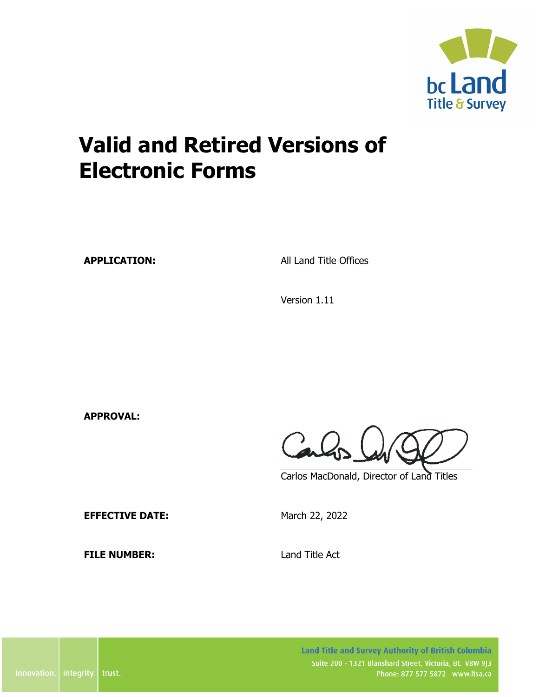

**APPLICATION:** All Land Title Offices

Version 1.11

**APPROVAL:**

Carlos

Carlos MacDonald, Director of Land Titles

**EFFECTIVE DATE:** March 22, 2022

**FILE NUMBER:** Land Title Act

Land Title and Survey Authority of British Columbia Suite 200 - 1321 Blanshard Street, Victoria, BC V8W 9J3 Phone: 877 577 5872 www.ltsa.ca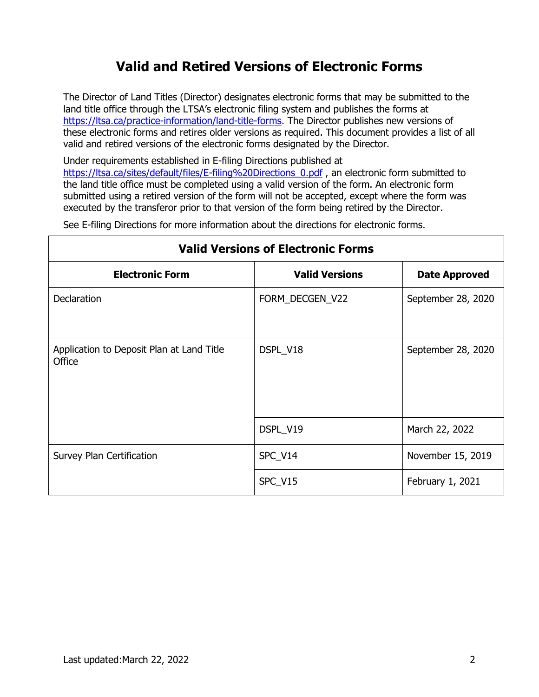The Director of Land Titles (Director) designates electronic forms that may be submitted to the land title office through the LTSA's electronic filing system and publishes the forms at [https://ltsa.ca/practice-information/land-title-forms.](https://ltsa.ca/practice-information/land-title-forms) The Director publishes new versions of these electronic forms and retires older versions as required. This document provides a list of all valid and retired versions of the electronic forms designated by the Director.

Under requirements established in E-filing Directions published at [https://ltsa.ca/sites/default/files/E-filing%20Directions\\_0.pdf](https://ltsa.ca/sites/default/files/E-filing%20Directions_0.pdf), an electronic form submitted to the land title office must be completed using a valid version of the form. An electronic form submitted using a retired version of the form will not be accepted, except where the form was executed by the transferor prior to that version of the form being retired by the Director.

See E-filing Directions for more information about the directions for electronic forms.

| <b>Valid Versions of Electronic Forms</b>           |                       |                      |  |
|-----------------------------------------------------|-----------------------|----------------------|--|
| <b>Electronic Form</b>                              | <b>Valid Versions</b> | <b>Date Approved</b> |  |
| <b>Declaration</b>                                  | FORM_DECGEN_V22       | September 28, 2020   |  |
| Application to Deposit Plan at Land Title<br>Office | DSPL_V18              | September 28, 2020   |  |
|                                                     | DSPL_V19              | March 22, 2022       |  |
| Survey Plan Certification                           | SPC_V14               | November 15, 2019    |  |
|                                                     | SPC_V15               | February 1, 2021     |  |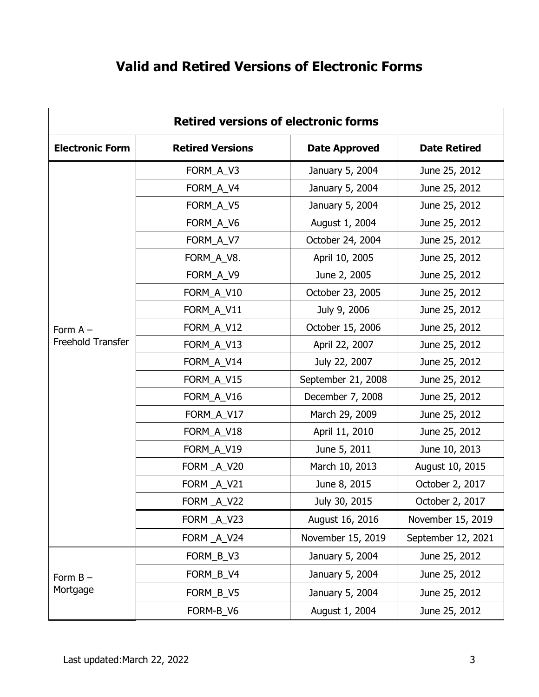|  | <b>Valid and Retired Versions of Electronic Forms</b> |
|--|-------------------------------------------------------|
|--|-------------------------------------------------------|

| <b>Retired versions of electronic forms</b> |                         |                      |                     |  |
|---------------------------------------------|-------------------------|----------------------|---------------------|--|
| <b>Electronic Form</b>                      | <b>Retired Versions</b> | <b>Date Approved</b> | <b>Date Retired</b> |  |
|                                             | FORM_A_V3               | January 5, 2004      | June 25, 2012       |  |
|                                             | FORM_A_V4               | January 5, 2004      | June 25, 2012       |  |
|                                             | FORM_A_V5               | January 5, 2004      | June 25, 2012       |  |
|                                             | FORM_A_V6               | August 1, 2004       | June 25, 2012       |  |
|                                             | FORM_A_V7               | October 24, 2004     | June 25, 2012       |  |
|                                             | FORM_A_V8.              | April 10, 2005       | June 25, 2012       |  |
|                                             | FORM_A_V9               | June 2, 2005         | June 25, 2012       |  |
|                                             | FORM_A_V10              | October 23, 2005     | June 25, 2012       |  |
|                                             | FORM_A_V11              | July 9, 2006         | June 25, 2012       |  |
| Form $A -$                                  | FORM_A_V12              | October 15, 2006     | June 25, 2012       |  |
| Freehold Transfer                           | FORM_A_V13              | April 22, 2007       | June 25, 2012       |  |
|                                             | FORM_A_V14              | July 22, 2007        | June 25, 2012       |  |
|                                             | FORM_A_V15              | September 21, 2008   | June 25, 2012       |  |
|                                             | FORM_A_V16              | December 7, 2008     | June 25, 2012       |  |
|                                             | FORM_A_V17              | March 29, 2009       | June 25, 2012       |  |
|                                             | FORM_A_V18              | April 11, 2010       | June 25, 2012       |  |
|                                             | FORM_A_V19              | June 5, 2011         | June 10, 2013       |  |
|                                             | FORM A_V20              | March 10, 2013       | August 10, 2015     |  |
|                                             | FORM_A_V21              | June 8, 2015         | October 2, 2017     |  |
|                                             | FORM _A_V22             | July 30, 2015        | October 2, 2017     |  |
|                                             | FORM A V23              | August 16, 2016      | November 15, 2019   |  |
|                                             | FORM A V24              | November 15, 2019    | September 12, 2021  |  |
|                                             | FORM_B_V3               | January 5, 2004      | June 25, 2012       |  |
| Form $B -$                                  | FORM_B_V4               | January 5, 2004      | June 25, 2012       |  |
| Mortgage                                    | FORM_B_V5               | January 5, 2004      | June 25, 2012       |  |
|                                             | FORM-B_V6               | August 1, 2004       | June 25, 2012       |  |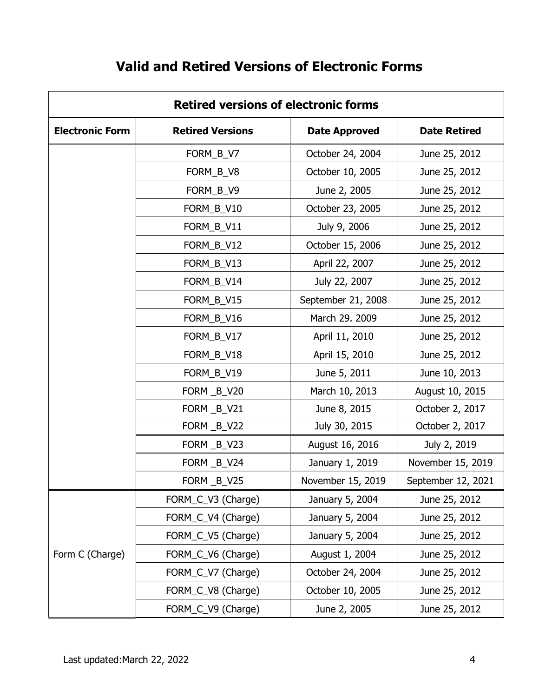| <b>Retired versions of electronic forms</b> |                         |                      |                     |
|---------------------------------------------|-------------------------|----------------------|---------------------|
| <b>Electronic Form</b>                      | <b>Retired Versions</b> | <b>Date Approved</b> | <b>Date Retired</b> |
|                                             | FORM_B_V7               | October 24, 2004     | June 25, 2012       |
|                                             | FORM_B_V8               | October 10, 2005     | June 25, 2012       |
|                                             | FORM_B_V9               | June 2, 2005         | June 25, 2012       |
|                                             | FORM_B_V10              | October 23, 2005     | June 25, 2012       |
|                                             | FORM_B_V11              | July 9, 2006         | June 25, 2012       |
|                                             | FORM_B_V12              | October 15, 2006     | June 25, 2012       |
|                                             | FORM_B_V13              | April 22, 2007       | June 25, 2012       |
|                                             | FORM_B_V14              | July 22, 2007        | June 25, 2012       |
|                                             | FORM_B_V15              | September 21, 2008   | June 25, 2012       |
|                                             | FORM_B_V16              | March 29. 2009       | June 25, 2012       |
|                                             | FORM_B_V17              | April 11, 2010       | June 25, 2012       |
|                                             | FORM_B_V18              | April 15, 2010       | June 25, 2012       |
|                                             | FORM_B_V19              | June 5, 2011         | June 10, 2013       |
|                                             | FORM _B_V20             | March 10, 2013       | August 10, 2015     |
|                                             | FORM _B_V21             | June 8, 2015         | October 2, 2017     |
|                                             | FORM _B_V22             | July 30, 2015        | October 2, 2017     |
|                                             | FORM _B_V23             | August 16, 2016      | July 2, 2019        |
|                                             | FORM B_V24              | January 1, 2019      | November 15, 2019   |
|                                             | FORM B_V25              | November 15, 2019    | September 12, 2021  |
|                                             | FORM_C_V3 (Charge)      | January 5, 2004      | June 25, 2012       |
|                                             | FORM_C_V4 (Charge)      | January 5, 2004      | June 25, 2012       |
| Form C (Charge)                             | FORM_C_V5 (Charge)      | January 5, 2004      | June 25, 2012       |
|                                             | FORM_C_V6 (Charge)      | August 1, 2004       | June 25, 2012       |
|                                             | FORM_C_V7 (Charge)      | October 24, 2004     | June 25, 2012       |
|                                             | FORM_C_V8 (Charge)      | October 10, 2005     | June 25, 2012       |
|                                             | FORM_C_V9 (Charge)      | June 2, 2005         | June 25, 2012       |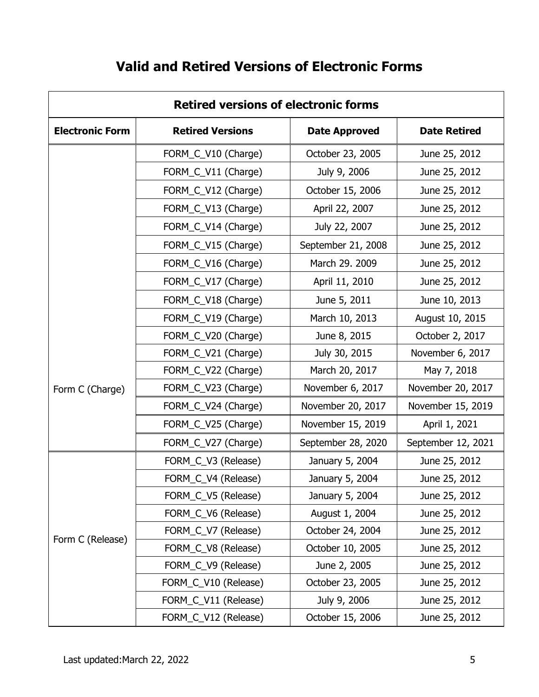| <b>Retired versions of electronic forms</b> |                         |                      |                     |
|---------------------------------------------|-------------------------|----------------------|---------------------|
| <b>Electronic Form</b>                      | <b>Retired Versions</b> | <b>Date Approved</b> | <b>Date Retired</b> |
|                                             | FORM_C_V10 (Charge)     | October 23, 2005     | June 25, 2012       |
|                                             | FORM_C_V11 (Charge)     | July 9, 2006         | June 25, 2012       |
|                                             | FORM_C_V12 (Charge)     | October 15, 2006     | June 25, 2012       |
|                                             | FORM_C_V13 (Charge)     | April 22, 2007       | June 25, 2012       |
|                                             | FORM_C_V14 (Charge)     | July 22, 2007        | June 25, 2012       |
|                                             | FORM_C_V15 (Charge)     | September 21, 2008   | June 25, 2012       |
|                                             | FORM_C_V16 (Charge)     | March 29. 2009       | June 25, 2012       |
|                                             | FORM_C_V17 (Charge)     | April 11, 2010       | June 25, 2012       |
|                                             | FORM_C_V18 (Charge)     | June 5, 2011         | June 10, 2013       |
|                                             | FORM_C_V19 (Charge)     | March 10, 2013       | August 10, 2015     |
|                                             | FORM_C_V20 (Charge)     | June 8, 2015         | October 2, 2017     |
|                                             | FORM_C_V21 (Charge)     | July 30, 2015        | November 6, 2017    |
|                                             | FORM_C_V22 (Charge)     | March 20, 2017       | May 7, 2018         |
| Form C (Charge)                             | FORM_C_V23 (Charge)     | November 6, 2017     | November 20, 2017   |
|                                             | FORM_C_V24 (Charge)     | November 20, 2017    | November 15, 2019   |
|                                             | FORM_C_V25 (Charge)     | November 15, 2019    | April 1, 2021       |
|                                             | FORM_C_V27 (Charge)     | September 28, 2020   | September 12, 2021  |
|                                             | FORM_C_V3 (Release)     | January 5, 2004      | June 25, 2012       |
|                                             | FORM_C_V4 (Release)     | January 5, 2004      | June 25, 2012       |
|                                             | FORM_C_V5 (Release)     | January 5, 2004      | June 25, 2012       |
| Form C (Release)                            | FORM_C_V6 (Release)     | August 1, 2004       | June 25, 2012       |
|                                             | FORM_C_V7 (Release)     | October 24, 2004     | June 25, 2012       |
|                                             | FORM_C_V8 (Release)     | October 10, 2005     | June 25, 2012       |
|                                             | FORM_C_V9 (Release)     | June 2, 2005         | June 25, 2012       |
|                                             | FORM_C_V10 (Release)    | October 23, 2005     | June 25, 2012       |
|                                             | FORM_C_V11 (Release)    | July 9, 2006         | June 25, 2012       |
|                                             | FORM_C_V12 (Release)    | October 15, 2006     | June 25, 2012       |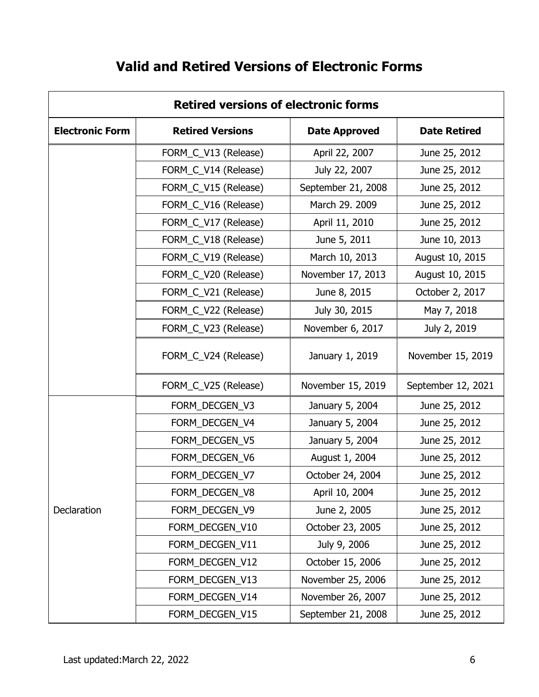| <b>Retired versions of electronic forms</b> |                         |                      |                     |
|---------------------------------------------|-------------------------|----------------------|---------------------|
| <b>Electronic Form</b>                      | <b>Retired Versions</b> | <b>Date Approved</b> | <b>Date Retired</b> |
|                                             | FORM_C_V13 (Release)    | April 22, 2007       | June 25, 2012       |
|                                             | FORM_C_V14 (Release)    | July 22, 2007        | June 25, 2012       |
|                                             | FORM_C_V15 (Release)    | September 21, 2008   | June 25, 2012       |
|                                             | FORM_C_V16 (Release)    | March 29. 2009       | June 25, 2012       |
|                                             | FORM_C_V17 (Release)    | April 11, 2010       | June 25, 2012       |
|                                             | FORM_C_V18 (Release)    | June 5, 2011         | June 10, 2013       |
|                                             | FORM_C_V19 (Release)    | March 10, 2013       | August 10, 2015     |
|                                             | FORM_C_V20 (Release)    | November 17, 2013    | August 10, 2015     |
|                                             | FORM_C_V21 (Release)    | June 8, 2015         | October 2, 2017     |
|                                             | FORM_C_V22 (Release)    | July 30, 2015        | May 7, 2018         |
|                                             | FORM_C_V23 (Release)    | November 6, 2017     | July 2, 2019        |
|                                             | FORM_C_V24 (Release)    | January 1, 2019      | November 15, 2019   |
|                                             | FORM_C_V25 (Release)    | November 15, 2019    | September 12, 2021  |
|                                             | FORM_DECGEN_V3          | January 5, 2004      | June 25, 2012       |
|                                             | FORM_DECGEN_V4          | January 5, 2004      | June 25, 2012       |
|                                             | FORM_DECGEN_V5          | January 5, 2004      | June 25, 2012       |
|                                             | FORM_DECGEN_V6          | August 1, 2004       | June 25, 2012       |
|                                             | FORM DECGEN V7          | October 24, 2004     | June 25, 2012       |
|                                             | FORM_DECGEN_V8          | April 10, 2004       | June 25, 2012       |
| Declaration                                 | FORM_DECGEN_V9          | June 2, 2005         | June 25, 2012       |
|                                             | FORM_DECGEN_V10         | October 23, 2005     | June 25, 2012       |
|                                             | FORM_DECGEN_V11         | July 9, 2006         | June 25, 2012       |
|                                             | FORM_DECGEN_V12         | October 15, 2006     | June 25, 2012       |
|                                             | FORM_DECGEN_V13         | November 25, 2006    | June 25, 2012       |
|                                             | FORM DECGEN V14         | November 26, 2007    | June 25, 2012       |
|                                             | FORM_DECGEN_V15         | September 21, 2008   | June 25, 2012       |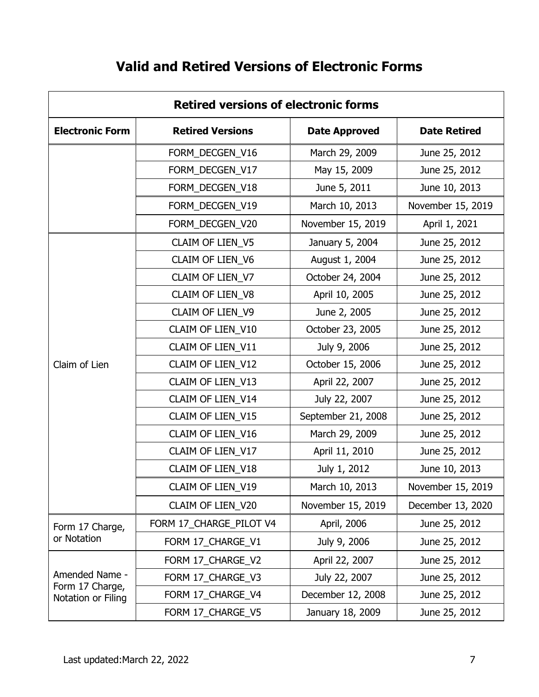| <b>Retired versions of electronic forms</b> |                         |                      |                     |
|---------------------------------------------|-------------------------|----------------------|---------------------|
| <b>Electronic Form</b>                      | <b>Retired Versions</b> | <b>Date Approved</b> | <b>Date Retired</b> |
|                                             | FORM_DECGEN_V16         | March 29, 2009       | June 25, 2012       |
|                                             | FORM_DECGEN_V17         | May 15, 2009         | June 25, 2012       |
|                                             | FORM_DECGEN_V18         | June 5, 2011         | June 10, 2013       |
|                                             | FORM_DECGEN_V19         | March 10, 2013       | November 15, 2019   |
|                                             | FORM_DECGEN_V20         | November 15, 2019    | April 1, 2021       |
|                                             | CLAIM OF LIEN_V5        | January 5, 2004      | June 25, 2012       |
|                                             | CLAIM OF LIEN_V6        | August 1, 2004       | June 25, 2012       |
|                                             | CLAIM OF LIEN_V7        | October 24, 2004     | June 25, 2012       |
|                                             | CLAIM OF LIEN_V8        | April 10, 2005       | June 25, 2012       |
|                                             | CLAIM OF LIEN_V9        | June 2, 2005         | June 25, 2012       |
|                                             | CLAIM OF LIEN_V10       | October 23, 2005     | June 25, 2012       |
|                                             | CLAIM OF LIEN_V11       | July 9, 2006         | June 25, 2012       |
| Claim of Lien                               | CLAIM OF LIEN_V12       | October 15, 2006     | June 25, 2012       |
|                                             | CLAIM OF LIEN_V13       | April 22, 2007       | June 25, 2012       |
|                                             | CLAIM OF LIEN_V14       | July 22, 2007        | June 25, 2012       |
|                                             | CLAIM OF LIEN_V15       | September 21, 2008   | June 25, 2012       |
|                                             | CLAIM OF LIEN_V16       | March 29, 2009       | June 25, 2012       |
|                                             | CLAIM OF LIEN_V17       | April 11, 2010       | June 25, 2012       |
|                                             | CLAIM OF LIEN_V18       | July 1, 2012         | June 10, 2013       |
|                                             | CLAIM OF LIEN_V19       | March 10, 2013       | November 15, 2019   |
|                                             | CLAIM OF LIEN_V20       | November 15, 2019    | December 13, 2020   |
| Form 17 Charge,                             | FORM 17_CHARGE_PILOT V4 | April, 2006          | June 25, 2012       |
| or Notation                                 | FORM 17_CHARGE_V1       | July 9, 2006         | June 25, 2012       |
|                                             | FORM 17_CHARGE_V2       | April 22, 2007       | June 25, 2012       |
| Amended Name -                              | FORM 17_CHARGE_V3       | July 22, 2007        | June 25, 2012       |
| Form 17 Charge,<br>Notation or Filing       | FORM 17_CHARGE_V4       | December 12, 2008    | June 25, 2012       |
|                                             | FORM 17_CHARGE_V5       | January 18, 2009     | June 25, 2012       |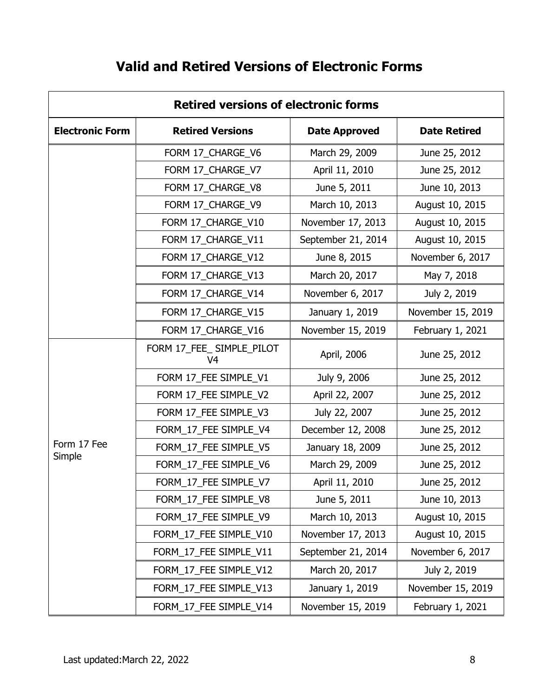| <b>Retired versions of electronic forms</b> |                                 |                      |                     |
|---------------------------------------------|---------------------------------|----------------------|---------------------|
| <b>Electronic Form</b>                      | <b>Retired Versions</b>         | <b>Date Approved</b> | <b>Date Retired</b> |
|                                             | FORM 17_CHARGE_V6               | March 29, 2009       | June 25, 2012       |
|                                             | FORM 17_CHARGE_V7               | April 11, 2010       | June 25, 2012       |
|                                             | FORM 17_CHARGE_V8               | June 5, 2011         | June 10, 2013       |
|                                             | FORM 17 CHARGE V9               | March 10, 2013       | August 10, 2015     |
|                                             | FORM 17_CHARGE_V10              | November 17, 2013    | August 10, 2015     |
|                                             | FORM 17_CHARGE_V11              | September 21, 2014   | August 10, 2015     |
|                                             | FORM 17_CHARGE_V12              | June 8, 2015         | November 6, 2017    |
|                                             | FORM 17_CHARGE_V13              | March 20, 2017       | May 7, 2018         |
|                                             | FORM 17_CHARGE_V14              | November 6, 2017     | July 2, 2019        |
|                                             | FORM 17_CHARGE_V15              | January 1, 2019      | November 15, 2019   |
|                                             | FORM 17_CHARGE_V16              | November 15, 2019    | February 1, 2021    |
|                                             | FORM 17_FEE_ SIMPLE_PILOT<br>V4 | April, 2006          | June 25, 2012       |
|                                             | FORM 17_FEE SIMPLE_V1           | July 9, 2006         | June 25, 2012       |
|                                             | FORM 17_FEE SIMPLE_V2           | April 22, 2007       | June 25, 2012       |
|                                             | FORM 17_FEE SIMPLE_V3           | July 22, 2007        | June 25, 2012       |
|                                             | FORM_17_FEE SIMPLE_V4           | December 12, 2008    | June 25, 2012       |
| Form 17 Fee                                 | FORM_17_FEE SIMPLE_V5           | January 18, 2009     | June 25, 2012       |
| Simple                                      | FORM_17_FEE SIMPLE_V6           | March 29, 2009       | June 25, 2012       |
|                                             | FORM_17_FEE SIMPLE_V7           | April 11, 2010       | June 25, 2012       |
|                                             | FORM_17_FEE SIMPLE_V8           | June 5, 2011         | June 10, 2013       |
|                                             | FORM_17_FEE SIMPLE_V9           | March 10, 2013       | August 10, 2015     |
|                                             | FORM_17_FEE SIMPLE_V10          | November 17, 2013    | August 10, 2015     |
|                                             | FORM_17_FEE SIMPLE_V11          | September 21, 2014   | November 6, 2017    |
|                                             | FORM_17_FEE SIMPLE_V12          | March 20, 2017       | July 2, 2019        |
|                                             | FORM_17_FEE SIMPLE_V13          | January 1, 2019      | November 15, 2019   |
|                                             | FORM_17_FEE SIMPLE_V14          | November 15, 2019    | February 1, 2021    |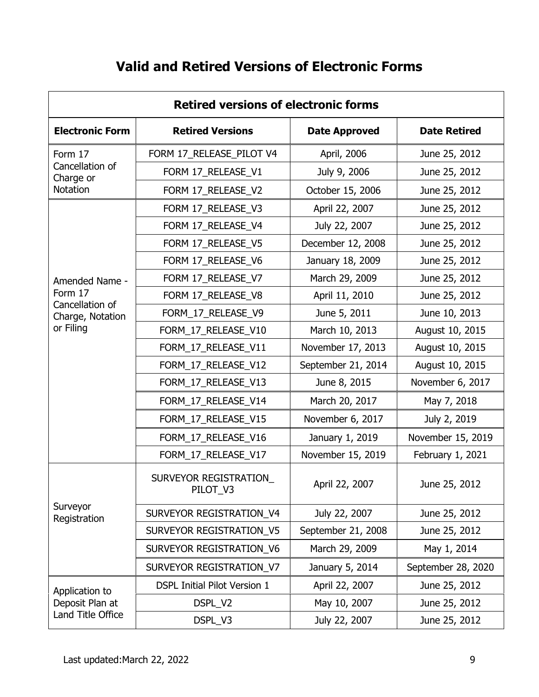| <b>Retired versions of electronic forms</b> |                                     |                      |                     |
|---------------------------------------------|-------------------------------------|----------------------|---------------------|
| <b>Electronic Form</b>                      | <b>Retired Versions</b>             | <b>Date Approved</b> | <b>Date Retired</b> |
| Form 17                                     | FORM 17_RELEASE_PILOT V4            | April, 2006          | June 25, 2012       |
| Cancellation of<br>Charge or                | FORM 17_RELEASE_V1                  | July 9, 2006         | June 25, 2012       |
| Notation                                    | FORM 17_RELEASE_V2                  | October 15, 2006     | June 25, 2012       |
|                                             | FORM 17_RELEASE_V3                  | April 22, 2007       | June 25, 2012       |
|                                             | FORM 17_RELEASE_V4                  | July 22, 2007        | June 25, 2012       |
|                                             | FORM 17_RELEASE_V5                  | December 12, 2008    | June 25, 2012       |
|                                             | FORM 17_RELEASE_V6                  | January 18, 2009     | June 25, 2012       |
| Amended Name -                              | FORM 17_RELEASE_V7                  | March 29, 2009       | June 25, 2012       |
| Form 17<br>Cancellation of                  | FORM 17_RELEASE_V8                  | April 11, 2010       | June 25, 2012       |
| Charge, Notation                            | FORM_17_RELEASE_V9                  | June 5, 2011         | June 10, 2013       |
| or Filing                                   | FORM_17_RELEASE_V10                 | March 10, 2013       | August 10, 2015     |
|                                             | FORM_17_RELEASE_V11                 | November 17, 2013    | August 10, 2015     |
|                                             | FORM_17_RELEASE_V12                 | September 21, 2014   | August 10, 2015     |
|                                             | FORM_17_RELEASE_V13                 | June 8, 2015         | November 6, 2017    |
|                                             | FORM_17_RELEASE_V14                 | March 20, 2017       | May 7, 2018         |
|                                             | FORM_17_RELEASE_V15                 | November 6, 2017     | July 2, 2019        |
|                                             | FORM_17_RELEASE_V16                 | January 1, 2019      | November 15, 2019   |
|                                             | FORM_17_RELEASE_V17                 | November 15, 2019    | February 1, 2021    |
|                                             | SURVEYOR REGISTRATION<br>PILOT_V3   | April 22, 2007       | June 25, 2012       |
| Surveyor<br>Registration                    | SURVEYOR REGISTRATION_V4            | July 22, 2007        | June 25, 2012       |
|                                             | SURVEYOR REGISTRATION_V5            | September 21, 2008   | June 25, 2012       |
|                                             | SURVEYOR REGISTRATION_V6            | March 29, 2009       | May 1, 2014         |
|                                             | SURVEYOR REGISTRATION_V7            | January 5, 2014      | September 28, 2020  |
| Application to                              | <b>DSPL Initial Pilot Version 1</b> | April 22, 2007       | June 25, 2012       |
| Deposit Plan at                             | DSPL_V2                             | May 10, 2007         | June 25, 2012       |
| Land Title Office                           | DSPL_V3                             | July 22, 2007        | June 25, 2012       |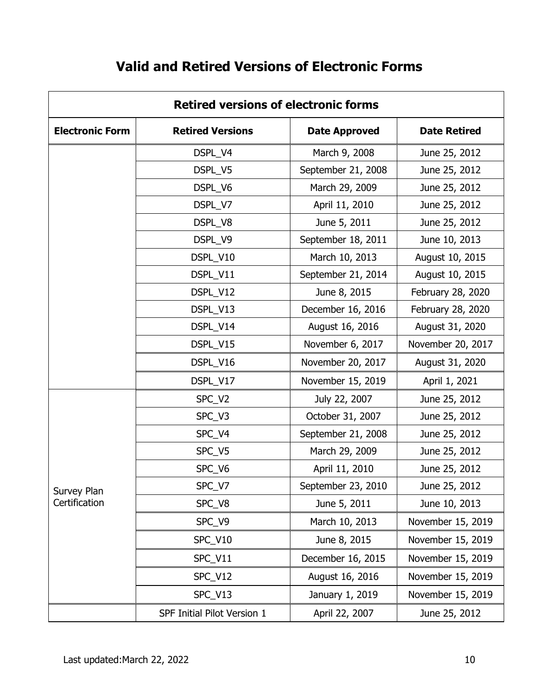| <b>Retired versions of electronic forms</b> |                             |                      |                     |
|---------------------------------------------|-----------------------------|----------------------|---------------------|
| <b>Electronic Form</b>                      | <b>Retired Versions</b>     | <b>Date Approved</b> | <b>Date Retired</b> |
|                                             | DSPL_V4                     | March 9, 2008        | June 25, 2012       |
|                                             | DSPL_V5                     | September 21, 2008   | June 25, 2012       |
|                                             | DSPL_V6                     | March 29, 2009       | June 25, 2012       |
|                                             | DSPL_V7                     | April 11, 2010       | June 25, 2012       |
|                                             | DSPL_V8                     | June 5, 2011         | June 25, 2012       |
|                                             | DSPL_V9                     | September 18, 2011   | June 10, 2013       |
|                                             | DSPL_V10                    | March 10, 2013       | August 10, 2015     |
|                                             | DSPL_V11                    | September 21, 2014   | August 10, 2015     |
|                                             | DSPL_V12                    | June 8, 2015         | February 28, 2020   |
|                                             | DSPL_V13                    | December 16, 2016    | February 28, 2020   |
|                                             | DSPL_V14                    | August 16, 2016      | August 31, 2020     |
|                                             | DSPL_V15                    | November 6, 2017     | November 20, 2017   |
|                                             | DSPL_V16                    | November 20, 2017    | August 31, 2020     |
|                                             | DSPL_V17                    | November 15, 2019    | April 1, 2021       |
|                                             | SPC_V2                      | July 22, 2007        | June 25, 2012       |
|                                             | SPC_V3                      | October 31, 2007     | June 25, 2012       |
|                                             | SPC_V4                      | September 21, 2008   | June 25, 2012       |
|                                             | SPC_V5                      | March 29, 2009       | June 25, 2012       |
|                                             | SPC_V6                      | April 11, 2010       | June 25, 2012       |
| Survey Plan                                 | SPC_V7                      | September 23, 2010   | June 25, 2012       |
| Certification                               | SPC_V8                      | June 5, 2011         | June 10, 2013       |
|                                             | SPC_V9                      | March 10, 2013       | November 15, 2019   |
|                                             | SPC_V10                     | June 8, 2015         | November 15, 2019   |
|                                             | SPC_V11                     | December 16, 2015    | November 15, 2019   |
|                                             | SPC_V12                     | August 16, 2016      | November 15, 2019   |
|                                             | SPC_V13                     | January 1, 2019      | November 15, 2019   |
|                                             | SPF Initial Pilot Version 1 | April 22, 2007       | June 25, 2012       |